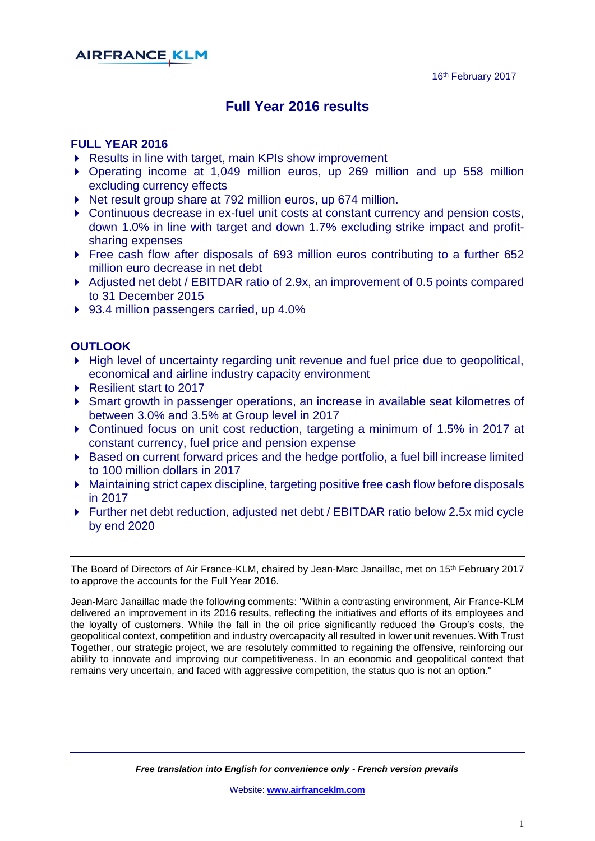

## **Full Year 2016 results**

#### **FULL YEAR 2016**

- ▶ Results in line with target, main KPIs show improvement
- Operating income at 1,049 million euros, up 269 million and up 558 million excluding currency effects
- Net result group share at 792 million euros, up 674 million.
- ▶ Continuous decrease in ex-fuel unit costs at constant currency and pension costs, down 1.0% in line with target and down 1.7% excluding strike impact and profitsharing expenses
- Free cash flow after disposals of 693 million euros contributing to a further 652 million euro decrease in net debt
- Adjusted net debt / EBITDAR ratio of 2.9x, an improvement of 0.5 points compared to 31 December 2015
- ▶ 93.4 million passengers carried, up 4.0%

## **OUTLOOK**

- High level of uncertainty regarding unit revenue and fuel price due to geopolitical, economical and airline industry capacity environment
- ▶ Resilient start to 2017
- Smart growth in passenger operations, an increase in available seat kilometres of between 3.0% and 3.5% at Group level in 2017
- Continued focus on unit cost reduction, targeting a minimum of 1.5% in 2017 at constant currency, fuel price and pension expense
- Based on current forward prices and the hedge portfolio, a fuel bill increase limited to 100 million dollars in 2017
- Maintaining strict capex discipline, targeting positive free cash flow before disposals in 2017
- Further net debt reduction, adjusted net debt / EBITDAR ratio below 2.5x mid cycle by end 2020

The Board of Directors of Air France-KLM, chaired by Jean-Marc Janaillac, met on 15th February 2017 to approve the accounts for the Full Year 2016.

Jean-Marc Janaillac made the following comments: "Within a contrasting environment, Air France-KLM delivered an improvement in its 2016 results, reflecting the initiatives and efforts of its employees and the loyalty of customers. While the fall in the oil price significantly reduced the Group's costs, the geopolitical context, competition and industry overcapacity all resulted in lower unit revenues. With Trust Together, our strategic project, we are resolutely committed to regaining the offensive, reinforcing our ability to innovate and improving our competitiveness. In an economic and geopolitical context that remains very uncertain, and faced with aggressive competition, the status quo is not an option."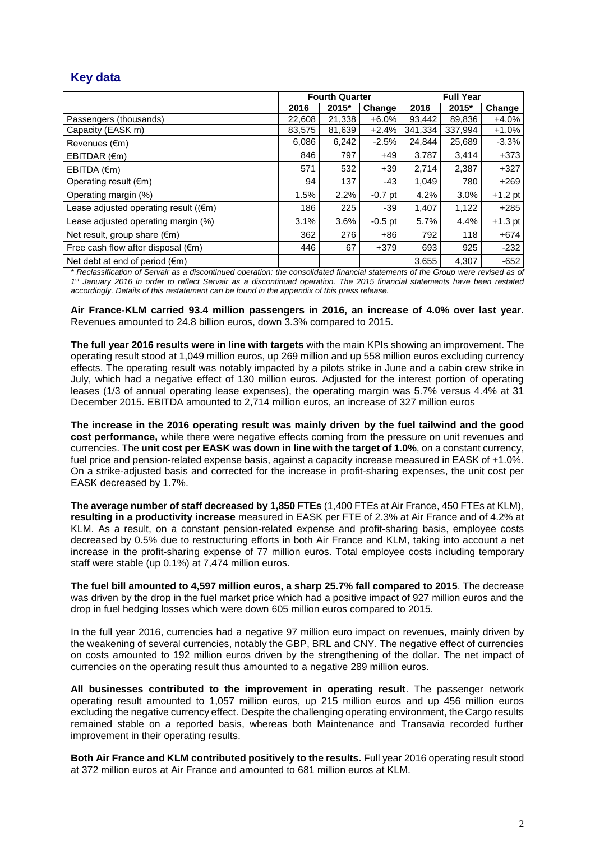### **Key data**

|                                                | <b>Fourth Quarter</b> |        |           | <b>Full Year</b> |         |           |
|------------------------------------------------|-----------------------|--------|-----------|------------------|---------|-----------|
|                                                | 2016                  | 2015*  | Change    | 2016             | 2015*   | Change    |
| Passengers (thousands)                         | 22.608                | 21.338 | $+6.0%$   | 93,442           | 89,836  | $+4.0%$   |
| Capacity (EASK m)                              | 83,575                | 81,639 | $+2.4%$   | 341,334          | 337,994 | $+1.0%$   |
| Revenues (€m)                                  | 6,086                 | 6,242  | $-2.5%$   | 24,844           | 25,689  | $-3.3%$   |
| EBITDAR (€m)                                   | 846                   | 797    | $+49$     | 3,787            | 3.414   | $+373$    |
| $EBITDA$ ( $\epsilon$ m)                       | 571                   | 532    | $+39$     | 2,714            | 2,387   | $+327$    |
| Operating result $(\epsilon m)$                | 94                    | 137    | -43       | 1,049            | 780     | $+269$    |
| Operating margin (%)                           | 1.5%                  | 2.2%   | $-0.7$ pt | 4.2%             | 3.0%    | $+1.2$ pt |
| Lease adjusted operating result $(\epsilon m)$ | 186                   | 225    | $-39$     | 1,407            | 1,122   | $+285$    |
| Lease adjusted operating margin (%)            | 3.1%                  | 3.6%   | $-0.5$ pt | 5.7%             | 4.4%    | $+1.3$ pt |
| Net result, group share $(\epsilon m)$         | 362                   | 276    | +86       | 792              | 118     | $+674$    |
| Free cash flow after disposal $(\epsilon m)$   | 446                   | 67     | $+379$    | 693              | 925     | $-232$    |
| Net debt at end of period $(\epsilon m)$       |                       |        |           | 3,655            | 4,307   | $-652$    |

*\* Reclassification of Servair as a discontinued operation: the consolidated financial statements of the Group were revised as of 1 st January 2016 in order to reflect Servair as a discontinued operation. The 2015 financial statements have been restated accordingly. Details of this restatement can be found in the appendix of this press release.*

**Air France-KLM carried 93.4 million passengers in 2016, an increase of 4.0% over last year.**  Revenues amounted to 24.8 billion euros, down 3.3% compared to 2015.

**The full year 2016 results were in line with targets** with the main KPIs showing an improvement. The operating result stood at 1,049 million euros, up 269 million and up 558 million euros excluding currency effects. The operating result was notably impacted by a pilots strike in June and a cabin crew strike in July, which had a negative effect of 130 million euros. Adjusted for the interest portion of operating leases (1/3 of annual operating lease expenses), the operating margin was 5.7% versus 4.4% at 31 December 2015. EBITDA amounted to 2,714 million euros, an increase of 327 million euros

**The increase in the 2016 operating result was mainly driven by the fuel tailwind and the good cost performance,** while there were negative effects coming from the pressure on unit revenues and currencies. The **unit cost per EASK was down in line with the target of 1.0%**, on a constant currency, fuel price and pension-related expense basis, against a capacity increase measured in EASK of +1.0%. On a strike-adjusted basis and corrected for the increase in profit-sharing expenses, the unit cost per EASK decreased by 1.7%.

**The average number of staff decreased by 1,850 FTEs** (1,400 FTEs at Air France, 450 FTEs at KLM), **resulting in a productivity increase** measured in EASK per FTE of 2.3% at Air France and of 4.2% at KLM. As a result, on a constant pension-related expense and profit-sharing basis, employee costs decreased by 0.5% due to restructuring efforts in both Air France and KLM, taking into account a net increase in the profit-sharing expense of 77 million euros. Total employee costs including temporary staff were stable (up 0.1%) at 7,474 million euros.

**The fuel bill amounted to 4,597 million euros, a sharp 25.7% fall compared to 2015**. The decrease was driven by the drop in the fuel market price which had a positive impact of 927 million euros and the drop in fuel hedging losses which were down 605 million euros compared to 2015.

In the full year 2016, currencies had a negative 97 million euro impact on revenues, mainly driven by the weakening of several currencies, notably the GBP, BRL and CNY. The negative effect of currencies on costs amounted to 192 million euros driven by the strengthening of the dollar. The net impact of currencies on the operating result thus amounted to a negative 289 million euros.

**All businesses contributed to the improvement in operating result**. The passenger network operating result amounted to 1,057 million euros, up 215 million euros and up 456 million euros excluding the negative currency effect. Despite the challenging operating environment, the Cargo results remained stable on a reported basis, whereas both Maintenance and Transavia recorded further improvement in their operating results.

**Both Air France and KLM contributed positively to the results.** Full year 2016 operating result stood at 372 million euros at Air France and amounted to 681 million euros at KLM.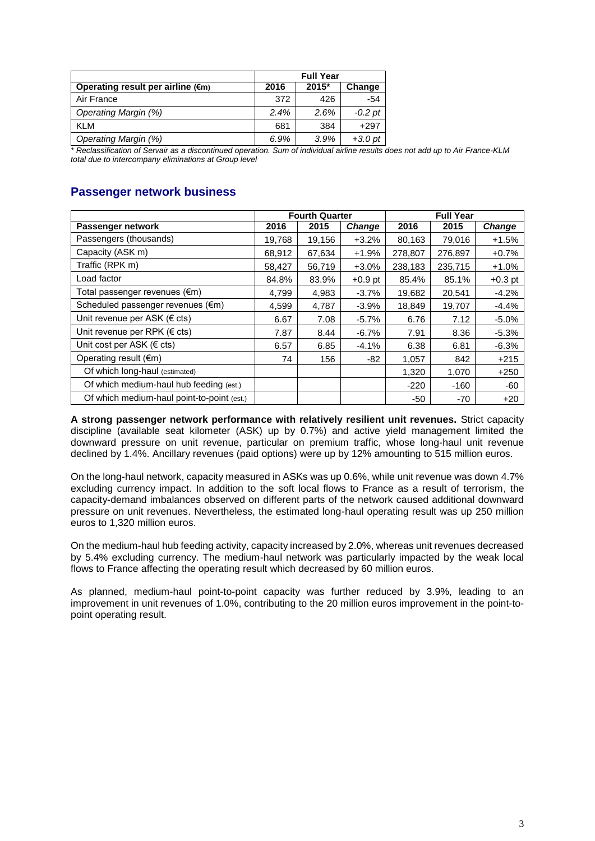|                                             |      | <b>Full Year</b> |           |  |  |
|---------------------------------------------|------|------------------|-----------|--|--|
| Operating result per airline $(\epsilon m)$ | 2016 | 2015*            | Change    |  |  |
| Air France                                  | 372  | 426              | $-54$     |  |  |
| Operating Margin (%)                        | 2.4% | 2.6%             | $-0.2$ pt |  |  |
| <b>KLM</b>                                  | 681  | 384              | $+297$    |  |  |
| Operating Margin (%)                        | 6.9% | 3.9%             | $+3.0$ pt |  |  |

*\* Reclassification of Servair as a discontinued operation. Sum of individual airline results does not add up to Air France-KLM total due to intercompany eliminations at Group level*

## **Passenger network business**

|                                             | <b>Fourth Quarter</b> |        |               | <b>Full Year</b> |         |               |
|---------------------------------------------|-----------------------|--------|---------------|------------------|---------|---------------|
| Passenger network                           | 2016                  | 2015   | <b>Change</b> | 2016             | 2015    | <b>Change</b> |
| Passengers (thousands)                      | 19,768                | 19,156 | $+3.2%$       | 80,163           | 79,016  | $+1.5%$       |
| Capacity (ASK m)                            | 68,912                | 67,634 | $+1.9%$       | 278,807          | 276,897 | $+0.7%$       |
| Traffic (RPK m)                             | 58,427                | 56,719 | $+3.0%$       | 238,183          | 235,715 | $+1.0%$       |
| Load factor                                 | 84.8%                 | 83.9%  | $+0.9$ pt     | 85.4%            | 85.1%   | $+0.3$ pt     |
| Total passenger revenues $(\epsilon m)$     | 4,799                 | 4,983  | $-3.7%$       | 19,682           | 20,541  | $-4.2%$       |
| Scheduled passenger revenues $(\epsilon m)$ | 4,599                 | 4,787  | $-3.9%$       | 18,849           | 19,707  | $-4.4%$       |
| Unit revenue per ASK ( $\in$ cts)           | 6.67                  | 7.08   | $-5.7%$       | 6.76             | 7.12    | $-5.0%$       |
| Unit revenue per RPK ( $\in$ cts)           | 7.87                  | 8.44   | $-6.7%$       | 7.91             | 8.36    | $-5.3%$       |
| Unit cost per ASK ( $\in$ cts)              | 6.57                  | 6.85   | $-4.1%$       | 6.38             | 6.81    | $-6.3%$       |
| Operating result $(\epsilon m)$             | 74                    | 156    | $-82$         | 1,057            | 842     | $+215$        |
| Of which long-haul (estimated)              |                       |        |               | 1,320            | 1,070   | $+250$        |
| Of which medium-haul hub feeding (est.)     |                       |        |               | $-220$           | $-160$  | $-60$         |
| Of which medium-haul point-to-point (est.)  |                       |        |               | $-50$            | $-70$   | $+20$         |

**A strong passenger network performance with relatively resilient unit revenues.** Strict capacity discipline (available seat kilometer (ASK) up by 0.7%) and active yield management limited the downward pressure on unit revenue, particular on premium traffic, whose long-haul unit revenue declined by 1.4%. Ancillary revenues (paid options) were up by 12% amounting to 515 million euros.

On the long-haul network, capacity measured in ASKs was up 0.6%, while unit revenue was down 4.7% excluding currency impact. In addition to the soft local flows to France as a result of terrorism, the capacity-demand imbalances observed on different parts of the network caused additional downward pressure on unit revenues. Nevertheless, the estimated long-haul operating result was up 250 million euros to 1,320 million euros.

On the medium-haul hub feeding activity, capacity increased by 2.0%, whereas unit revenues decreased by 5.4% excluding currency. The medium-haul network was particularly impacted by the weak local flows to France affecting the operating result which decreased by 60 million euros.

As planned, medium-haul point-to-point capacity was further reduced by 3.9%, leading to an improvement in unit revenues of 1.0%, contributing to the 20 million euros improvement in the point-topoint operating result.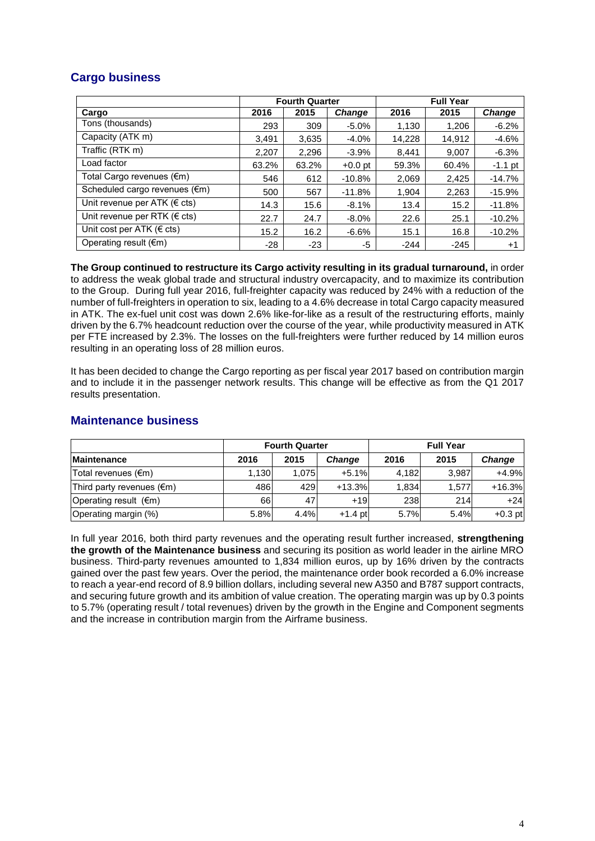## **Cargo business**

|                                   | <b>Fourth Quarter</b> |       |               |        | <b>Full Year</b> |               |
|-----------------------------------|-----------------------|-------|---------------|--------|------------------|---------------|
| Cargo                             | 2016                  | 2015  | <b>Change</b> | 2016   | 2015             | <b>Change</b> |
| Tons (thousands)                  | 293                   | 309   | $-5.0%$       | 1,130  | 1,206            | $-6.2%$       |
| Capacity (ATK m)                  | 3,491                 | 3,635 | $-4.0%$       | 14,228 | 14,912           | $-4.6%$       |
| Traffic (RTK m)                   | 2,207                 | 2,296 | $-3.9%$       | 8,441  | 9,007            | $-6.3%$       |
| Load factor                       | 63.2%                 | 63.2% | $+0.0$ pt     | 59.3%  | 60.4%            | $-1.1$ pt     |
| Total Cargo revenues (€m)         | 546                   | 612   | $-10.8%$      | 2,069  | 2,425            | $-14.7%$      |
| Scheduled cargo revenues (€m)     | 500                   | 567   | $-11.8%$      | 1,904  | 2,263            | $-15.9%$      |
| Unit revenue per ATK ( $\in$ cts) | 14.3                  | 15.6  | $-8.1%$       | 13.4   | 15.2             | $-11.8%$      |
| Unit revenue per RTK ( $\in$ cts) | 22.7                  | 24.7  | $-8.0\%$      | 22.6   | 25.1             | $-10.2%$      |
| Unit cost per ATK ( $\in$ cts)    | 15.2                  | 16.2  | $-6.6%$       | 15.1   | 16.8             | $-10.2%$      |
| Operating result $(\epsilon m)$   | $-28$                 | $-23$ | -5            | $-244$ | $-245$           | $+1$          |

**The Group continued to restructure its Cargo activity resulting in its gradual turnaround,** in order to address the weak global trade and structural industry overcapacity, and to maximize its contribution to the Group. During full year 2016, full-freighter capacity was reduced by 24% with a reduction of the number of full-freighters in operation to six, leading to a 4.6% decrease in total Cargo capacity measured in ATK. The ex-fuel unit cost was down 2.6% like-for-like as a result of the restructuring efforts, mainly driven by the 6.7% headcount reduction over the course of the year, while productivity measured in ATK per FTE increased by 2.3%. The losses on the full-freighters were further reduced by 14 million euros resulting in an operating loss of 28 million euros.

It has been decided to change the Cargo reporting as per fiscal year 2017 based on contribution margin and to include it in the passenger network results. This change will be effective as from the Q1 2017 results presentation.

|                                     |       | <b>Fourth Quarter</b> |               |       |       |               |
|-------------------------------------|-------|-----------------------|---------------|-------|-------|---------------|
| <b>Maintenance</b>                  | 2016  | 2015                  | <b>Change</b> | 2016  | 2015  | <b>Change</b> |
| Total revenues $(\epsilon m)$       | 1.130 | 1.075                 | $+5.1%$       | 4.182 | 3.987 | $+4.9%$       |
| Third party revenues $(\epsilon m)$ | 486   | 429                   | $+13.3%$      | 1.834 | 1.577 | $+16.3%$      |
| Operating result $(\epsilon m)$     | 66    | 47                    | $+19$         | 238   | 214   | $+24$         |
| Operating margin (%)                | 5.8%  | 4.4%                  | $+1.4$ pt     | 5.7%  | 5.4%  | $+0.3$ pt     |

### **Maintenance business**

In full year 2016, both third party revenues and the operating result further increased, **strengthening the growth of the Maintenance business** and securing its position as world leader in the airline MRO business. Third-party revenues amounted to 1,834 million euros, up by 16% driven by the contracts gained over the past few years. Over the period, the maintenance order book recorded a 6.0% increase to reach a year-end record of 8.9 billion dollars, including several new A350 and B787 support contracts, and securing future growth and its ambition of value creation. The operating margin was up by 0.3 points to 5.7% (operating result / total revenues) driven by the growth in the Engine and Component segments and the increase in contribution margin from the Airframe business.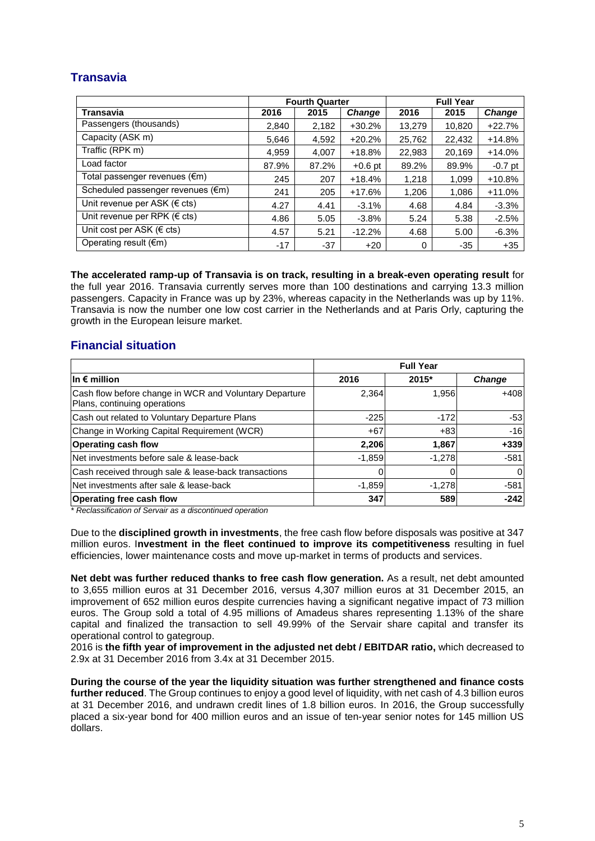## **Transavia**

|                                             |       | <b>Fourth Quarter</b> |               | <b>Full Year</b> |        |               |
|---------------------------------------------|-------|-----------------------|---------------|------------------|--------|---------------|
| <b>Transavia</b>                            | 2016  | 2015                  | <b>Change</b> | 2016             | 2015   | <b>Change</b> |
| Passengers (thousands)                      | 2,840 | 2,182                 | $+30.2%$      | 13,279           | 10,820 | $+22.7%$      |
| Capacity (ASK m)                            | 5,646 | 4,592                 | $+20.2%$      | 25,762           | 22,432 | $+14.8%$      |
| Traffic (RPK m)                             | 4,959 | 4,007                 | $+18.8%$      | 22,983           | 20,169 | $+14.0%$      |
| Load factor                                 | 87.9% | 87.2%                 | $+0.6$ pt     | 89.2%            | 89.9%  | $-0.7$ pt     |
| Total passenger revenues (€m)               | 245   | 207                   | $+18.4%$      | 1,218            | 1,099  | $+10.8%$      |
| Scheduled passenger revenues $(\epsilon m)$ | 241   | 205                   | $+17.6%$      | 1,206            | 1,086  | $+11.0%$      |
| Unit revenue per ASK ( $\in$ cts)           | 4.27  | 4.41                  | $-3.1%$       | 4.68             | 4.84   | $-3.3%$       |
| Unit revenue per RPK ( $\in$ cts)           | 4.86  | 5.05                  | $-3.8%$       | 5.24             | 5.38   | $-2.5%$       |
| Unit cost per ASK ( $\in$ cts)              | 4.57  | 5.21                  | $-12.2%$      | 4.68             | 5.00   | $-6.3%$       |
| Operating result $(\epsilon m)$             | $-17$ | $-37$                 | $+20$         | 0                | $-35$  | $+35$         |

**The accelerated ramp-up of Transavia is on track, resulting in a break-even operating result** for the full year 2016. Transavia currently serves more than 100 destinations and carrying 13.3 million passengers. Capacity in France was up by 23%, whereas capacity in the Netherlands was up by 11%. Transavia is now the number one low cost carrier in the Netherlands and at Paris Orly, capturing the growth in the European leisure market.

### **Financial situation**

|                                                                                        | <b>Full Year</b> |          |               |  |
|----------------------------------------------------------------------------------------|------------------|----------|---------------|--|
| $\ln \epsilon$ million                                                                 | 2016             | 2015*    | <b>Change</b> |  |
| Cash flow before change in WCR and Voluntary Departure<br>Plans, continuing operations | 2,364            | 1,956    | $+408$        |  |
| Cash out related to Voluntary Departure Plans                                          | $-225$           | $-172$   | $-53$         |  |
| Change in Working Capital Requirement (WCR)                                            | $+67$            | $+83$    | $-16$         |  |
| <b>Operating cash flow</b>                                                             | 2,206            | 1,867    | $+339$        |  |
| Net investments before sale & lease-back                                               | $-1,859$         | $-1.278$ | $-581$        |  |
| Cash received through sale & lease-back transactions                                   |                  |          | 0             |  |
| INet investments after sale & lease-back                                               | $-1,859$         | $-1.278$ | $-581$        |  |
| <b>Operating free cash flow</b>                                                        | 347              | 589      | $-242$        |  |

*\* Reclassification of Servair as a discontinued operation*

Due to the **disciplined growth in investments**, the free cash flow before disposals was positive at 347 million euros. I**nvestment in the fleet continued to improve its competitiveness** resulting in fuel efficiencies, lower maintenance costs and move up-market in terms of products and services.

Net debt was further reduced thanks to free cash flow generation. As a result, net debt amounted to 3,655 million euros at 31 December 2016, versus 4,307 million euros at 31 December 2015, an improvement of 652 million euros despite currencies having a significant negative impact of 73 million euros. The Group sold a total of 4.95 millions of Amadeus shares representing 1.13% of the share capital and finalized the transaction to sell 49.99% of the Servair share capital and transfer its operational control to gategroup.

2016 is **the fifth year of improvement in the adjusted net debt / EBITDAR ratio,** which decreased to 2.9x at 31 December 2016 from 3.4x at 31 December 2015.

**During the course of the year the liquidity situation was further strengthened and finance costs further reduced**. The Group continues to enjoy a good level of liquidity, with net cash of 4.3 billion euros at 31 December 2016, and undrawn credit lines of 1.8 billion euros. In 2016, the Group successfully placed a six-year bond for 400 million euros and an issue of ten-year senior notes for 145 million US dollars.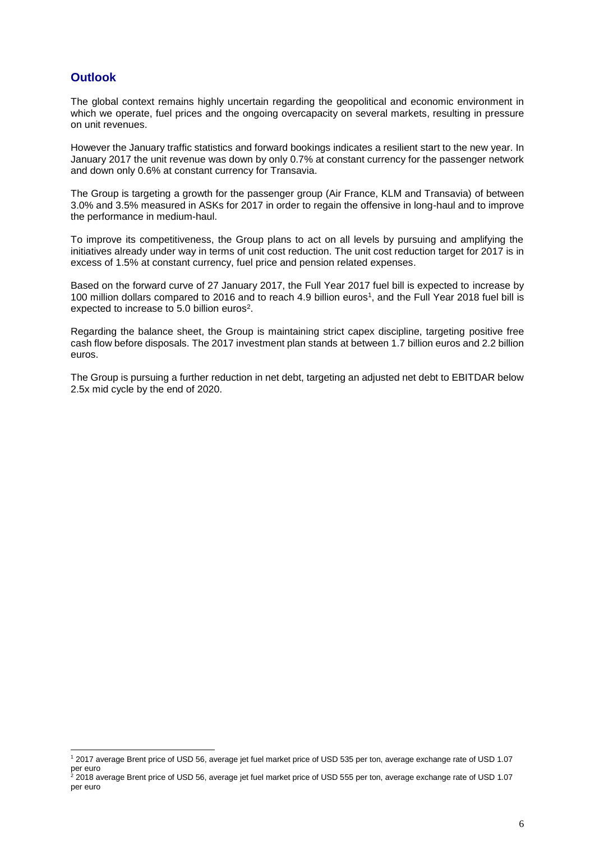### **Outlook**

-

The global context remains highly uncertain regarding the geopolitical and economic environment in which we operate, fuel prices and the ongoing overcapacity on several markets, resulting in pressure on unit revenues.

However the January traffic statistics and forward bookings indicates a resilient start to the new year. In January 2017 the unit revenue was down by only 0.7% at constant currency for the passenger network and down only 0.6% at constant currency for Transavia.

The Group is targeting a growth for the passenger group (Air France, KLM and Transavia) of between 3.0% and 3.5% measured in ASKs for 2017 in order to regain the offensive in long-haul and to improve the performance in medium-haul.

To improve its competitiveness, the Group plans to act on all levels by pursuing and amplifying the initiatives already under way in terms of unit cost reduction. The unit cost reduction target for 2017 is in excess of 1.5% at constant currency, fuel price and pension related expenses.

Based on the forward curve of 27 January 2017, the Full Year 2017 fuel bill is expected to increase by 100 million dollars compared to 2016 and to reach 4.9 billion euros<sup>1</sup>, and the Full Year 2018 fuel bill is expected to increase to 5.0 billion euros<sup>2</sup>.

Regarding the balance sheet, the Group is maintaining strict capex discipline, targeting positive free cash flow before disposals. The 2017 investment plan stands at between 1.7 billion euros and 2.2 billion euros.

The Group is pursuing a further reduction in net debt, targeting an adjusted net debt to EBITDAR below 2.5x mid cycle by the end of 2020.

<sup>1</sup> 2017 average Brent price of USD 56, average jet fuel market price of USD 535 per ton, average exchange rate of USD 1.07 per euro

 $2$  2018 average Brent price of USD 56, average jet fuel market price of USD 555 per ton, average exchange rate of USD 1.07 per euro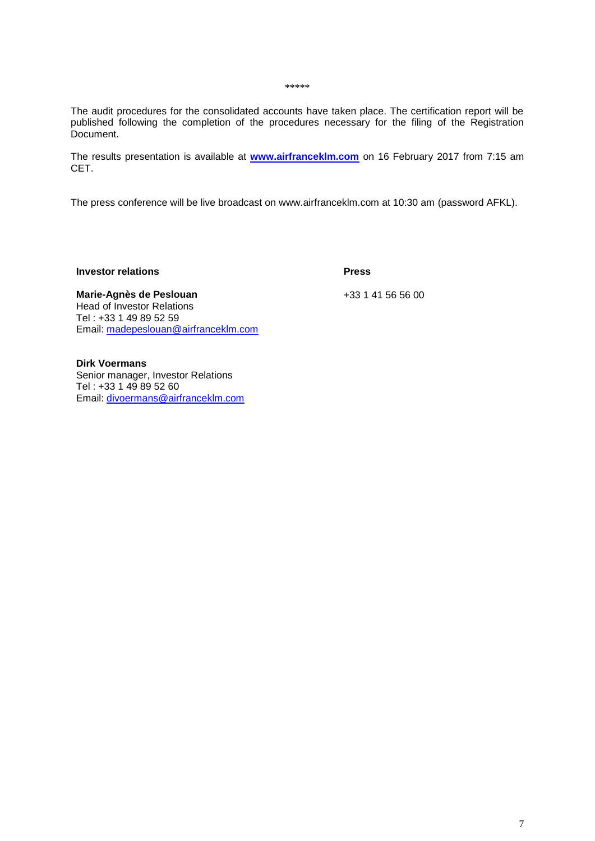\*\*\*\*\*

The audit procedures for the consolidated accounts have taken place. The certification report will be published following the completion of the procedures necessary for the filing of the Registration Document.

The results presentation is available at **www.airfranceklm.com** on 16 February 2017 from 7:15 am CET.

The press conference will be live broadcast on www.airfranceklm.com at 10:30 am (password AFKL).

#### **Investor relations Press**

**Marie-Agnès de Peslouan** +33 1 41 56 56 00 Head of Investor Relations Tel : +33 1 49 89 52 59 Email: madepeslouan@airfranceklm.com

**Dirk Voermans** Senior manager, Investor Relations Tel : +33 1 49 89 52 60 Email: [divoermans@airfranceklm.com](mailto:divoermans@airfranceklm.com)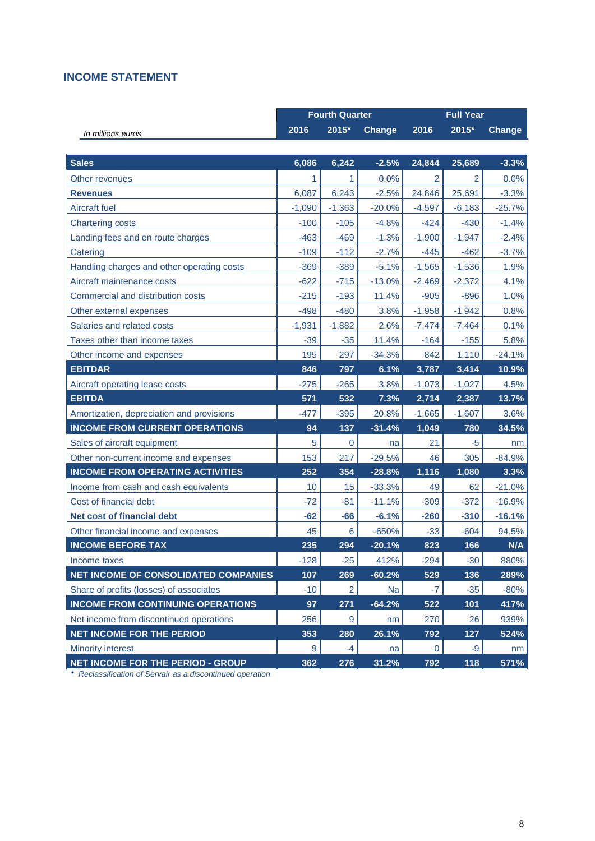### **INCOME STATEMENT**

|                                             | <b>Fourth Quarter</b> |                  |           |           | <b>Full Year</b> |               |  |
|---------------------------------------------|-----------------------|------------------|-----------|-----------|------------------|---------------|--|
| In millions euros                           | 2016                  | 2015*            | Change    | 2016      | 2015*            | <b>Change</b> |  |
|                                             |                       |                  |           |           |                  |               |  |
| <b>Sales</b>                                | 6,086                 | 6,242            | $-2.5%$   | 24,844    | 25,689           | $-3.3%$       |  |
| Other revenues                              | 1                     | 1                | 0.0%      | 2         | 2                | $0.0\%$       |  |
| <b>Revenues</b>                             | 6,087                 | 6,243            | $-2.5%$   | 24,846    | 25,691           | $-3.3%$       |  |
| <b>Aircraft fuel</b>                        | $-1,090$              | $-1,363$         | $-20.0%$  | $-4,597$  | $-6,183$         | $-25.7%$      |  |
| <b>Chartering costs</b>                     | $-100$                | $-105$           | $-4.8%$   | $-424$    | $-430$           | $-1.4%$       |  |
| Landing fees and en route charges           | $-463$                | $-469$           | $-1.3%$   | $-1,900$  | $-1,947$         | $-2.4%$       |  |
| Catering                                    | $-109$                | $-112$           | $-2.7%$   | $-445$    | $-462$           | $-3.7%$       |  |
| Handling charges and other operating costs  | $-369$                | $-389$           | $-5.1%$   | $-1,565$  | $-1,536$         | 1.9%          |  |
| Aircraft maintenance costs                  | $-622$                | $-715$           | $-13.0%$  | $-2,469$  | $-2,372$         | 4.1%          |  |
| Commercial and distribution costs           | $-215$                | $-193$           | 11.4%     | $-905$    | $-896$           | 1.0%          |  |
| Other external expenses                     | $-498$                | $-480$           | 3.8%      | $-1,958$  | $-1,942$         | 0.8%          |  |
| Salaries and related costs                  | $-1,931$              | $-1,882$         | 2.6%      | $-7,474$  | $-7,464$         | 0.1%          |  |
| Taxes other than income taxes               | $-39$                 | $-35$            | 11.4%     | $-164$    | $-155$           | 5.8%          |  |
| Other income and expenses                   | 195                   | 297              | $-34.3%$  | 842       | 1,110            | $-24.1%$      |  |
| <b>EBITDAR</b>                              | 846                   | 797              | 6.1%      | 3,787     | 3,414            | 10.9%         |  |
| Aircraft operating lease costs              | $-275$                | $-265$           | 3.8%      | $-1,073$  | $-1,027$         | 4.5%          |  |
| <b>EBITDA</b>                               | 571                   | 532              | 7.3%      | 2,714     | 2,387            | 13.7%         |  |
| Amortization, depreciation and provisions   | $-477$                | $-395$           | 20.8%     | $-1,665$  | $-1,607$         | 3.6%          |  |
| <b>INCOME FROM CURRENT OPERATIONS</b>       | 94                    | 137              | $-31.4%$  | 1,049     | 780              | 34.5%         |  |
| Sales of aircraft equipment                 | 5                     | $\overline{0}$   | na        | 21        | -5               | nm            |  |
| Other non-current income and expenses       | 153                   | 217              | $-29.5%$  | 46        | 305              | $-84.9%$      |  |
| <b>INCOME FROM OPERATING ACTIVITIES</b>     | 252                   | 354              | $-28.8%$  | 1,116     | 1,080            | 3.3%          |  |
| Income from cash and cash equivalents       | 10                    | 15               | $-33.3%$  | 49        | 62               | $-21.0%$      |  |
| Cost of financial debt                      | $-72$                 | $-81$            | $-11.1%$  | $-309$    | $-372$           | $-16.9%$      |  |
| Net cost of financial debt                  | $-62$                 | $-66$            | $-6.1%$   | $-260$    | $-310$           | $-16.1%$      |  |
| Other financial income and expenses         | 45                    | 6                | $-650%$   | $-33$     | $-604$           | 94.5%         |  |
| <b>INCOME BEFORE TAX</b>                    | 235                   | 294              | $-20.1%$  | 823       | 166              | N/A           |  |
| Income taxes                                | $-128$                | $-25$            | 412%      | $-294$    | $-30$            | 880%          |  |
| <b>NET INCOME OF CONSOLIDATED COMPANIES</b> | 107                   | 269              | $-60.2%$  | 529       | 136              | 289%          |  |
| Share of profits (losses) of associates     | $-10$                 | $\overline{2}$   | <b>Na</b> | $-7$      | $-35$            | $-80%$        |  |
| <b>INCOME FROM CONTINUING OPERATIONS</b>    | 97                    | 271              | $-64.2%$  | 522       | 101              | 417%          |  |
| Net income from discontinued operations     | 256                   | $\boldsymbol{9}$ | nm        | 270       | 26               | 939%          |  |
| <b>NET INCOME FOR THE PERIOD</b>            | 353                   | 280              | 26.1%     | 792       | 127              | 524%          |  |
| <b>Minority interest</b>                    | $9\,$                 | $-4$             | na        | $\pmb{0}$ | $-9$             | nm            |  |
| NET INCOME FOR THE PERIOD - GROUP           | 362                   | 276              | 31.2%     | 792       | 118              | 571%          |  |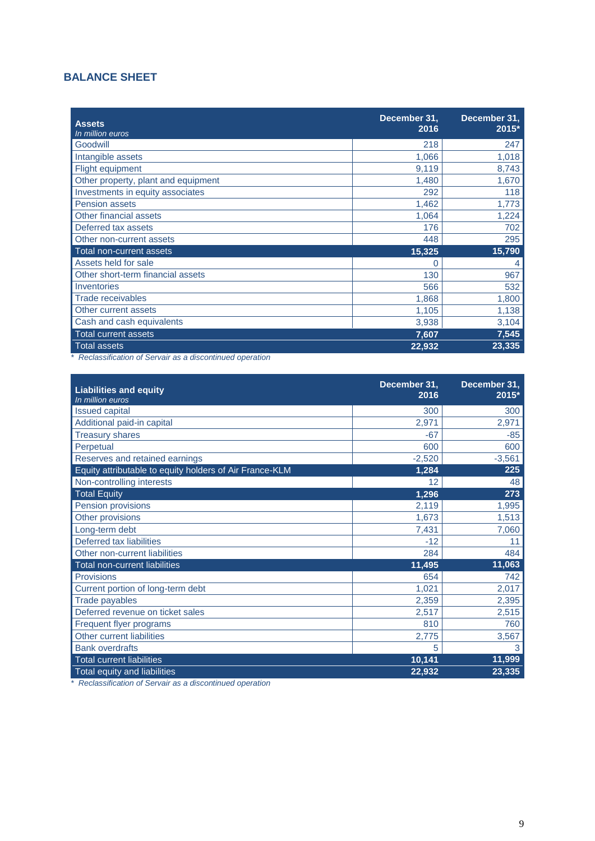### **BALANCE SHEET**

| <b>Assets</b><br>In million euros                                                                                                                                                                                                                       | December 31,<br>2016 | December 31,<br>$2015*$ |
|---------------------------------------------------------------------------------------------------------------------------------------------------------------------------------------------------------------------------------------------------------|----------------------|-------------------------|
| Goodwill                                                                                                                                                                                                                                                | 218                  | 247                     |
| Intangible assets                                                                                                                                                                                                                                       | 1,066                | 1,018                   |
| Flight equipment                                                                                                                                                                                                                                        | 9,119                | 8,743                   |
| Other property, plant and equipment                                                                                                                                                                                                                     | 1,480                | 1,670                   |
| Investments in equity associates                                                                                                                                                                                                                        | 292                  | 118                     |
| <b>Pension assets</b>                                                                                                                                                                                                                                   | 1,462                | 1,773                   |
| Other financial assets                                                                                                                                                                                                                                  | 1,064                | 1,224                   |
| Deferred tax assets                                                                                                                                                                                                                                     | 176                  | 702                     |
| Other non-current assets                                                                                                                                                                                                                                | 448                  | 295                     |
| <b>Total non-current assets</b>                                                                                                                                                                                                                         | 15,325               | 15,790                  |
| Assets held for sale                                                                                                                                                                                                                                    |                      |                         |
| Other short-term financial assets                                                                                                                                                                                                                       | 130                  | 967                     |
| Inventories                                                                                                                                                                                                                                             | 566                  | 532                     |
| <b>Trade receivables</b>                                                                                                                                                                                                                                | 1,868                | 1,800                   |
| Other current assets                                                                                                                                                                                                                                    | 1,105                | 1,138                   |
| Cash and cash equivalents                                                                                                                                                                                                                               | 3,938                | 3,104                   |
| <b>Total current assets</b>                                                                                                                                                                                                                             | 7,607                | 7,545                   |
| <b>Total assets</b><br>the contract of the contract of the contract of the contract of the contract of<br>$\mathbf{r}$ and $\mathbf{r}$ and $\mathbf{r}$ and $\mathbf{r}$ and $\mathbf{r}$ and $\mathbf{r}$ and $\mathbf{r}$ and $\mathbf{r}$<br>$\sim$ | 22,932               | 23,335                  |

*\* Reclassification of Servair as a discontinued operation* 

| <b>Liabilities and equity</b><br>In million euros       | December 31.<br>2016 | December 31,<br>2015* |
|---------------------------------------------------------|----------------------|-----------------------|
| <b>Issued capital</b>                                   | 300                  | 300                   |
| Additional paid-in capital                              | 2,971                | 2,971                 |
| <b>Treasury shares</b>                                  | $-67$                | $-85$                 |
| Perpetual                                               | 600                  | 600                   |
| Reserves and retained earnings                          | $-2,520$             | $-3,561$              |
| Equity attributable to equity holders of Air France-KLM | 1,284                | 225                   |
| Non-controlling interests                               | 12                   | 48                    |
| <b>Total Equity</b>                                     | 1,296                | 273                   |
| Pension provisions                                      | 2,119                | 1,995                 |
| Other provisions                                        | 1,673                | 1,513                 |
| Long-term debt                                          | 7,431                | 7,060                 |
| Deferred tax liabilities                                | $-12$                | 11                    |
| Other non-current liabilities                           | 284                  | 484                   |
| Total non-current liabilities                           | 11,495               | 11,063                |
| Provisions                                              | 654                  | 742                   |
| Current portion of long-term debt                       | 1,021                | 2,017                 |
| <b>Trade payables</b>                                   | 2,359                | 2,395                 |
| Deferred revenue on ticket sales                        | 2,517                | 2,515                 |
| Frequent flyer programs                                 | 810                  | 760                   |
| Other current liabilities                               | 2,775                | 3,567                 |
| <b>Bank overdrafts</b>                                  | 5                    | 3                     |
| <b>Total current liabilities</b>                        | 10,141               | 11,999                |
| Total equity and liabilities                            | 22,932               | 23,335                |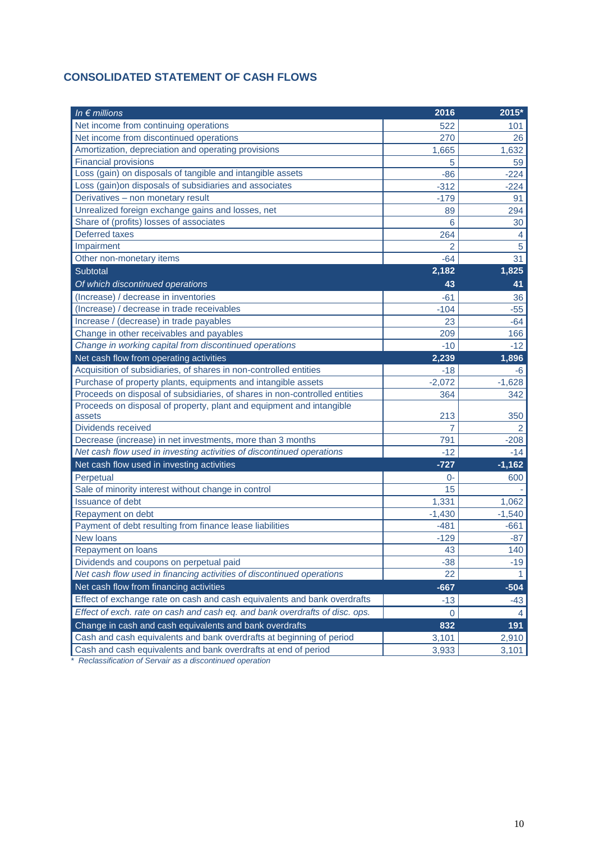## **CONSOLIDATED STATEMENT OF CASH FLOWS**

| In $\epsilon$ millions                                                      | 2016           | 2015*    |
|-----------------------------------------------------------------------------|----------------|----------|
| Net income from continuing operations                                       | 522            | 101      |
| Net income from discontinued operations                                     | 270            | 26       |
| Amortization, depreciation and operating provisions                         | 1,665          | 1,632    |
| <b>Financial provisions</b>                                                 | 5              | 59       |
| Loss (gain) on disposals of tangible and intangible assets                  | $-86$          | $-224$   |
| Loss (gain)on disposals of subsidiaries and associates                      | $-312$         | $-224$   |
| Derivatives - non monetary result                                           | $-179$         | 91       |
| Unrealized foreign exchange gains and losses, net                           | 89             | 294      |
| Share of (profits) losses of associates                                     | 6              | 30       |
| <b>Deferred taxes</b>                                                       | 264            | 4        |
| Impairment                                                                  | 2              | 5        |
| Other non-monetary items                                                    | $-64$          | 31       |
| Subtotal                                                                    | 2,182          | 1,825    |
| Of which discontinued operations                                            | 43             | 41       |
| (Increase) / decrease in inventories                                        | -61            | 36       |
| (Increase) / decrease in trade receivables                                  | $-104$         | $-55$    |
| Increase / (decrease) in trade payables                                     | 23             | $-64$    |
| Change in other receivables and payables                                    | 209            | 166      |
| Change in working capital from discontinued operations                      | $-10$          | $-12$    |
| Net cash flow from operating activities                                     | 2,239          | 1,896    |
| Acquisition of subsidiaries, of shares in non-controlled entities           | $-18$          | -6       |
| Purchase of property plants, equipments and intangible assets               | $-2,072$       | $-1,628$ |
| Proceeds on disposal of subsidiaries, of shares in non-controlled entities  | 364            | 342      |
| Proceeds on disposal of property, plant and equipment and intangible        |                |          |
| assets                                                                      | 213            | 350      |
| Dividends received                                                          | $\overline{7}$ |          |
| Decrease (increase) in net investments, more than 3 months                  | 791            | $-208$   |
| Net cash flow used in investing activities of discontinued operations       | $-12$          | $-14$    |
| Net cash flow used in investing activities                                  | $-727$         | $-1,162$ |
| Perpetual                                                                   | 0-             | 600      |
| Sale of minority interest without change in control                         | 15             |          |
| <b>Issuance of debt</b>                                                     | 1,331          | 1,062    |
| Repayment on debt                                                           | $-1,430$       | $-1,540$ |
| Payment of debt resulting from finance lease liabilities                    | $-481$         | $-661$   |
| New loans                                                                   | $-129$         | $-87$    |
| Repayment on loans                                                          | 43             | 140      |
| Dividends and coupons on perpetual paid                                     | $-38$          | $-19$    |
| Net cash flow used in financing activities of discontinued operations       | 22             |          |
| Net cash flow from financing activities                                     | $-667$         | $-504$   |
| Effect of exchange rate on cash and cash equivalents and bank overdrafts    | $-13$          | $-43$    |
| Effect of exch. rate on cash and cash eq. and bank overdrafts of disc. ops. | 0              | 4        |
| Change in cash and cash equivalents and bank overdrafts                     | 832            | 191      |
| Cash and cash equivalents and bank overdrafts at beginning of period        | 3,101          | 2,910    |
| Cash and cash equivalents and bank overdrafts at end of period              | 3,933          | 3,101    |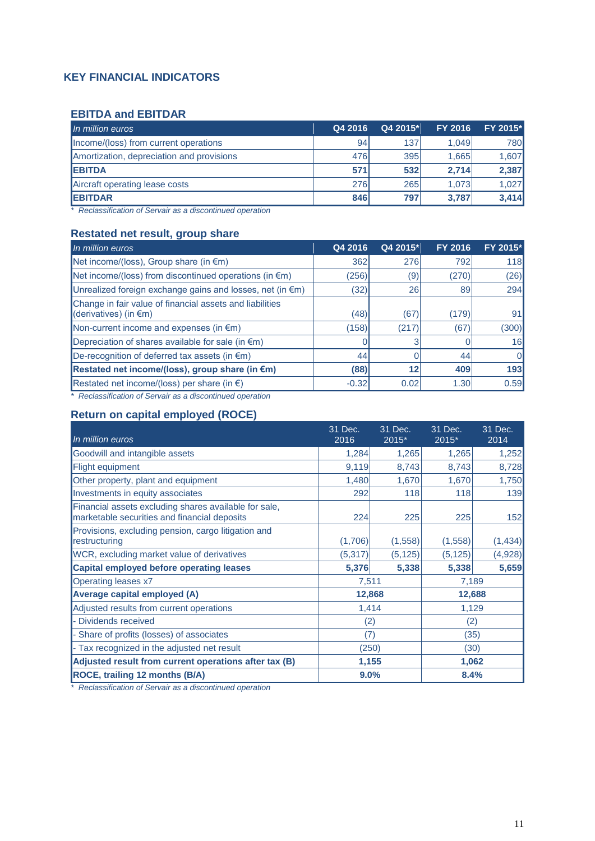### **KEY FINANCIAL INDICATORS**

#### **EBITDA and EBITDAR**

| In million euros                          | Q4 2016 | Q4 2015* | <b>FY 2016</b> | FY 2015*   |
|-------------------------------------------|---------|----------|----------------|------------|
| Income/(loss) from current operations     | 94      | 137      | 1.049          | <b>780</b> |
| Amortization, depreciation and provisions | 476     | 395      | 1.665          | 1,607      |
| <b>IEBITDA</b>                            | 571     | 532      | 2.714          | 2,387      |
| Aircraft operating lease costs            | 276     | 265      | 1.073          | 1.027      |
| <b>IEBITDAR</b>                           | 846     | 797      | 3.787          | 3,414      |

*\* Reclassification of Servair as a discontinued operation* 

#### **Restated net result, group share**

| In million euros                                                                            | Q4 2016 | Q4 2015* | <b>FY 2016</b> | FY 2015* |
|---------------------------------------------------------------------------------------------|---------|----------|----------------|----------|
| Net income/(loss), Group share (in $\epsilon$ m)                                            | 362     | 276      | 792            | 118      |
| Net income/(loss) from discontinued operations (in $\epsilon$ m)                            | (256)   | (9)      | (270)          | (26)     |
| Unrealized foreign exchange gains and losses, net (in $\epsilon$ m)                         | (32)    | 26       | 89             | 294      |
| Change in fair value of financial assets and liabilities<br>(derivatives) (in $\epsilon$ m) | (48)    | (67)     | (179)          | 91       |
| Non-current income and expenses (in €m)                                                     | (158)   | (217)    | (67)           | (300)    |
| Depreciation of shares available for sale (in $\epsilon$ m)                                 |         |          |                | 16       |
| De-recognition of deferred tax assets (in $\epsilon$ m)                                     | 44      |          | 44             | $\Omega$ |
| Restated net income/(loss), group share (in €m)                                             | (88)    | 12       | 409            | 193      |
| Restated net income/(loss) per share (in $\epsilon$ )                                       | $-0.32$ | 0.02     | 1.30           | 0.59     |
|                                                                                             |         |          |                |          |

*\* Reclassification of Servair as a discontinued operation* 

## **Return on capital employed (ROCE)**

| In million euros                                                                                      | 31 Dec.<br>2016 | 31 Dec.<br>2015* | 31 Dec.<br>$2015*$ | 31 Dec.<br>2014 |
|-------------------------------------------------------------------------------------------------------|-----------------|------------------|--------------------|-----------------|
| Goodwill and intangible assets                                                                        | 1,284           | 1,265            | 1,265              | 1,252           |
| <b>Flight equipment</b>                                                                               | 9,119           | 8,743            | 8,743              | 8,728           |
| Other property, plant and equipment                                                                   | 1,480           | 1,670            | 1,670              | 1,750           |
| Investments in equity associates                                                                      | 292             | 118              | 118                | 139             |
| Financial assets excluding shares available for sale,<br>marketable securities and financial deposits | 224             | 225              | 225                | 152             |
| Provisions, excluding pension, cargo litigation and<br>restructuring                                  | (1,706)         | (1,558)          | (1,558)            | (1,434)         |
| WCR, excluding market value of derivatives                                                            | (5, 317)        | (5, 125)         | (5, 125)           | (4,928)         |
| <b>Capital employed before operating leases</b>                                                       | 5,376           | 5,338            | 5,338              | 5,659           |
| <b>Operating leases x7</b>                                                                            | 7,511           |                  | 7,189              |                 |
| Average capital employed (A)                                                                          |                 | 12,868           | 12,688             |                 |
| Adjusted results from current operations                                                              | 1,414           |                  | 1,129              |                 |
| - Dividends received                                                                                  | (2)             |                  | (2)                |                 |
| - Share of profits (losses) of associates                                                             | (7)             |                  | (35)               |                 |
| - Tax recognized in the adjusted net result                                                           | (250)           |                  | (30)               |                 |
| Adjusted result from current operations after tax (B)                                                 | 1,155           |                  | 1,062              |                 |
| ROCE, trailing 12 months (B/A)                                                                        | 9.0%            |                  | 8.4%               |                 |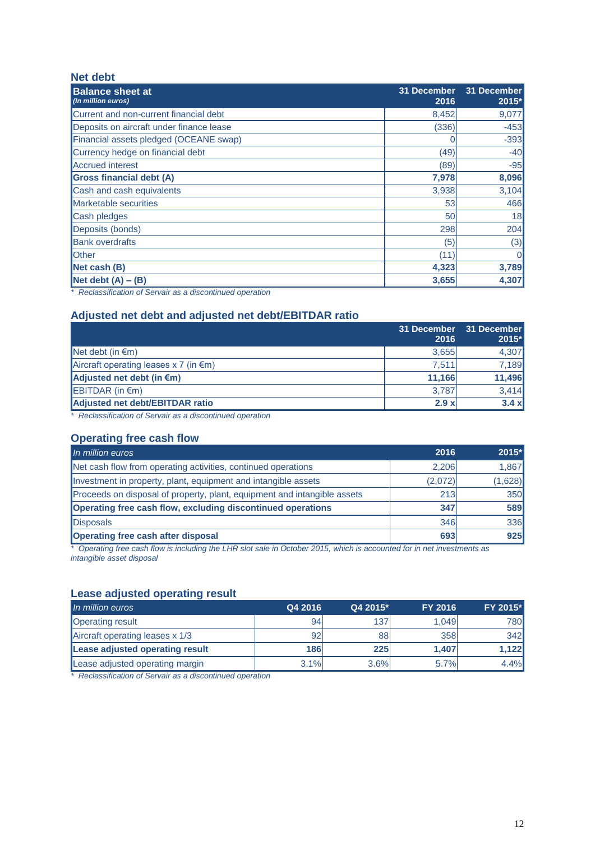#### **Net debt**

| <b>Balance sheet at</b><br>(In million euros) | 31 December<br>2016 | 31 December<br>$2015*$ |
|-----------------------------------------------|---------------------|------------------------|
| Current and non-current financial debt        | 8,452               | 9,077                  |
| Deposits on aircraft under finance lease      | (336)               | $-453$                 |
| Financial assets pledged (OCEANE swap)        |                     | $-393$                 |
| Currency hedge on financial debt              | (49)                | $-40$                  |
| <b>Accrued interest</b>                       | (89)                | $-95$                  |
| <b>Gross financial debt (A)</b>               | 7,978               | 8,096                  |
| Cash and cash equivalents                     | 3,938               | 3,104                  |
| <b>Marketable securities</b>                  | 53                  | 466                    |
| Cash pledges                                  | 50                  | 18                     |
| Deposits (bonds)                              | 298                 | 204                    |
| <b>Bank overdrafts</b>                        | (5)                 | (3)                    |
| Other                                         | (11)                |                        |
| Net cash (B)                                  | 4,323               | 3,789                  |
| Net debt $(A) - (B)$                          | 3,655               | 4,307                  |

*\* Reclassification of Servair as a discontinued operation* 

## **Adjusted net debt and adjusted net debt/EBITDAR ratio**

|                                          | 2016   | 31 December 31 December<br>2015* |
|------------------------------------------|--------|----------------------------------|
| Net debt (in $€m)$                       | 3.655  | 4,307                            |
| Aircraft operating leases x 7 (in $∈$ m) | 7.511  | 7,189                            |
| Adjusted net debt (in $\epsilon$ m)      | 11.166 | 11,496                           |
| EBITDAR (in $\epsilon$ m)                | 3.787  | 3,414                            |
| Adjusted net debt/EBITDAR ratio          | 2.9 x  | $3.4 \times$                     |

*\* Reclassification of Servair as a discontinued operation* 

#### **Operating free cash flow**

| In million euros                                                         | 2016    | 2015*   |
|--------------------------------------------------------------------------|---------|---------|
| Net cash flow from operating activities, continued operations            | 2.206   | 1,867   |
| Investment in property, plant, equipment and intangible assets           | (2,072) | (1,628) |
| Proceeds on disposal of property, plant, equipment and intangible assets | 213     | 350     |
| Operating free cash flow, excluding discontinued operations              | 347     | 589     |
| Disposals                                                                | 346     | 336     |
| <b>Operating free cash after disposal</b>                                | 693     | 925     |

*\* Operating free cash flow is including the LHR slot sale in October 2015, which is accounted for in net investments as intangible asset disposal*

## **Lease adjusted operating result**

| In million euros                | Q4 2016 | Q4 2015* | FY 2016 | FY 2015*   |
|---------------------------------|---------|----------|---------|------------|
| <b>Operating result</b>         | 94      | 137      | 1.049   | <b>780</b> |
| Aircraft operating leases x 1/3 | 92      | 88       | 358     | 342        |
| Lease adjusted operating result | 186     | 225      | 1.407   | 1.122      |
| Lease adjusted operating margin | 3.1%    | 3.6%     | 5.7%    | 4.4%       |
| $\sim$ $\sim$ $\sim$ $\sim$     |         |          |         |            |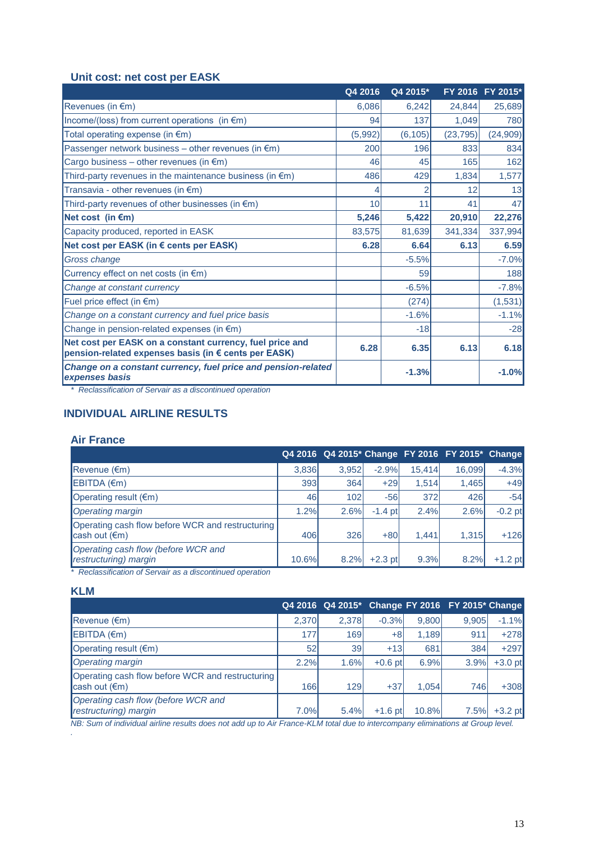#### **Unit cost: net cost per EASK**

|                                                                                                                  | Q4 2016 | Q4 2015* |           | FY 2016 FY 2015* |
|------------------------------------------------------------------------------------------------------------------|---------|----------|-----------|------------------|
| Revenues (in €m)                                                                                                 | 6,086   | 6,242    | 24,844    | 25,689           |
| Income/(loss) from current operations (in $\epsilon$ m)                                                          | 94      | 137      | 1,049     | <b>780</b>       |
| Total operating expense (in $\epsilon$ m)                                                                        | (5,992) | (6, 105) | (23, 795) | (24, 909)        |
| Passenger network business – other revenues (in $\epsilon$ m)                                                    | 200     | 196      | 833       | 834              |
| Cargo business – other revenues (in $\epsilon$ m)                                                                | 46      | 45       | 165       | 162              |
| Third-party revenues in the maintenance business (in $\epsilon$ m)                                               | 486     | 429      | 1,834     | 1,577            |
| Transavia - other revenues (in $\epsilon$ m)                                                                     |         |          | 12        | 13               |
| Third-party revenues of other businesses (in €m)                                                                 | 10      | 11       | 41        | 47               |
| Net cost (in $\epsilon$ m)                                                                                       | 5,246   | 5,422    | 20,910    | 22,276           |
| Capacity produced, reported in EASK                                                                              | 83,575  | 81,639   | 341,334   | 337,994          |
| Net cost per EASK (in € cents per EASK)                                                                          | 6.28    | 6.64     | 6.13      | 6.59             |
| Gross change                                                                                                     |         | $-5.5%$  |           | $-7.0%$          |
| Currency effect on net costs (in €m)                                                                             |         | 59       |           | 188              |
| Change at constant currency                                                                                      |         | $-6.5%$  |           | $-7.8%$          |
| Fuel price effect (in €m)                                                                                        |         | (274)    |           | (1,531)          |
| Change on a constant currency and fuel price basis                                                               |         | $-1.6%$  |           | $-1.1%$          |
| Change in pension-related expenses (in €m)                                                                       |         | $-18$    |           | $-28$            |
| Net cost per EASK on a constant currency, fuel price and<br>pension-related expenses basis (in € cents per EASK) | 6.28    | 6.35     | 6.13      | 6.18             |
| Change on a constant currency, fuel price and pension-related<br>expenses basis                                  |         | $-1.3%$  |           | $-1.0%$          |

*\* Reclassification of Servair as a discontinued operation* 

### **INDIVIDUAL AIRLINE RESULTS**

#### **Air France**

|                                                                             |       |       |           |        | Q4 2016 Q4 2015* Change FY 2016 FY 2015* Change |           |
|-----------------------------------------------------------------------------|-------|-------|-----------|--------|-------------------------------------------------|-----------|
| Revenue $(\epsilon m)$                                                      | 3.836 | 3.952 | $-2.9%$   | 15.414 | 16,099                                          | $-4.3%$   |
| $EBITDA$ ( $\epsilon$ m)                                                    | 393   | 364   | $+29$     | 1.514  | 1,465                                           | $+49$     |
| Operating result $(\epsilon m)$                                             | 46    | 102   | $-56$     | 372    | 426                                             | $-54$     |
| <b>Operating margin</b>                                                     | 1.2%  | 2.6%  | $-1.4$ pt | 2.4%   | 2.6%                                            | $-0.2$ pt |
| Operating cash flow before WCR and restructuring<br>cash out $(\epsilon m)$ | 406   | 326   | $+80$     | 1.441  | 1.315                                           | $+126$    |
| Operating cash flow (before WCR and<br>restructuring) margin                | 10.6% | 8.2%  | $+2.3$ pt | 9.3%   | 8.2%                                            | $+1.2$ pt |

*\* Reclassification of Servair as a discontinued operation* 

#### **KLM**

*.*

|                                                                             |       |       |           |       | Q4 2016 Q4 2015* Change FY 2016 FY 2015* Change |           |
|-----------------------------------------------------------------------------|-------|-------|-----------|-------|-------------------------------------------------|-----------|
| Revenue $(\epsilon m)$                                                      | 2,370 | 2,378 | $-0.3%$   | 9,800 | 9.905                                           | $-1.1%$   |
| $EBITDA$ ( $\epsilon$ m)                                                    | 177   | 169   | +8        | 1.189 | 911                                             | $+278$    |
| Operating result $(\epsilon m)$                                             | 52    | 39    | $+13$     | 681   | 384                                             | $+297$    |
| <b>Operating margin</b>                                                     | 2.2%  | 1.6%  | $+0.6$ pt | 6.9%  | 3.9%                                            | $+3.0$ pt |
| Operating cash flow before WCR and restructuring<br>cash out $(\epsilon m)$ | 166   | 129   | $+37$     | 1.054 | 746                                             | $+308$    |
| Operating cash flow (before WCR and<br>restructuring) margin                | 7.0%  | 5.4%  | $+1.6$ pt | 10.8% | 7.5%                                            | $+3.2$ pt |

*NB: Sum of individual airline results does not add up to Air France-KLM total due to intercompany eliminations at Group level.*